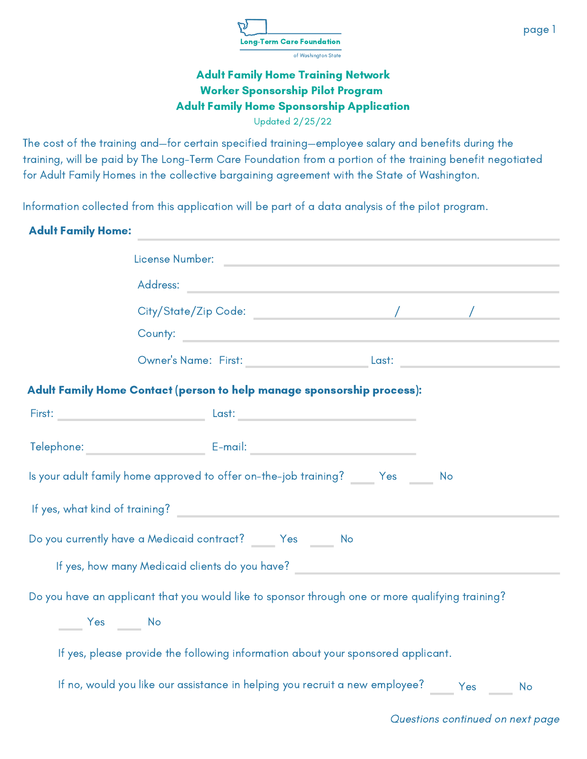

Updated 2/25/22

The cost of the training and—for certain specified training—employee salary and benefits during the training, will be paid by The Long-Term Care Foundation from a portion of the training benefit negotiated for Adult Family Homes in the collective bargaining agreement with the State of Washington.

Information collected from this application will be part of a data analysis of the pilot program.

### Adult Family Home:

|                      | Address: Address: Address: Address: Address: Address: Address: Address: Address: Address: Address: A                                                                                                                           |           |
|----------------------|--------------------------------------------------------------------------------------------------------------------------------------------------------------------------------------------------------------------------------|-----------|
|                      |                                                                                                                                                                                                                                |           |
|                      |                                                                                                                                                                                                                                |           |
|                      | Owner's Name: First: Last: Last: Last: Last: Last: Last: Last: Last: Last: Last: Last: Last: Last: Last: Last: Last: Last: Last: Last: Last: Last: Last: Last: Last: Last: Last: Last: Last: Last: Last: Last: Last: Last: Las |           |
|                      | Adult Family Home Contact (person to help manage sponsorship process):                                                                                                                                                         |           |
|                      |                                                                                                                                                                                                                                |           |
|                      | Telephone: E-mail: E-mail: E-mail: E-mail: E-mail: E-mail: E-mail: E-mail: E-mail: E-mail: E-mail: E-mail: E-mail: E-mail: E-mail: E-mail: E-mail: E-mail: E-mail: E-mail: E-mail: E-mail: E-mail: E-mail: E-mail: E-mail: E-m |           |
|                      | Is your adult family home approved to offer on-the-job training? ______Yes ______ No                                                                                                                                           |           |
|                      |                                                                                                                                                                                                                                |           |
|                      | Do you currently have a Medicaid contract? ______ Yes ______ No                                                                                                                                                                |           |
|                      | If yes, how many Medicaid clients do you have? Note that the control of the state of the control of the control of the control of the control of the control of the control of the control of the control of the control of th |           |
|                      | Do you have an applicant that you would like to sponsor through one or more qualifying training?                                                                                                                               |           |
| ______ Yes ______ No |                                                                                                                                                                                                                                |           |
|                      | If yes, please provide the following information about your sponsored applicant.                                                                                                                                               |           |
|                      | If no, would you like our assistance in helping you recruit a new employee? Yes                                                                                                                                                | <b>No</b> |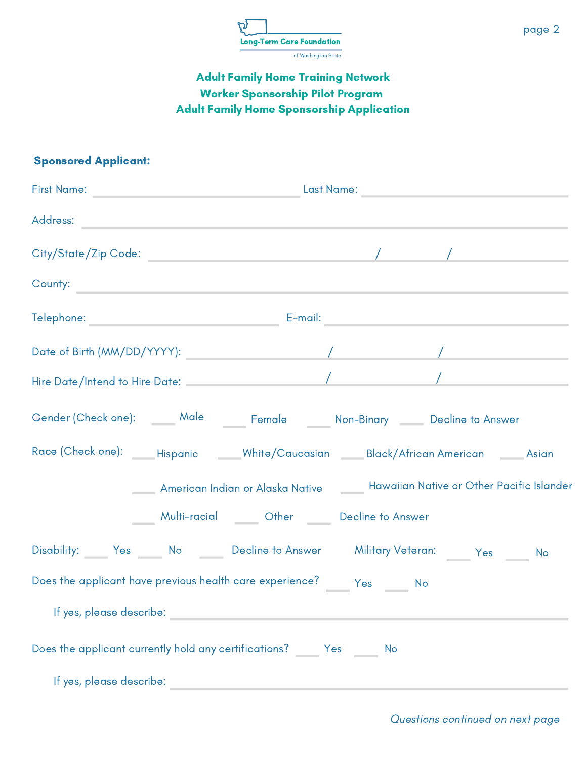

### Sponsored Applicant:

| Address:                                                                                           |  |                                                          |  |                                                                                    |  |
|----------------------------------------------------------------------------------------------------|--|----------------------------------------------------------|--|------------------------------------------------------------------------------------|--|
|                                                                                                    |  |                                                          |  |                                                                                    |  |
| County:                                                                                            |  |                                                          |  |                                                                                    |  |
|                                                                                                    |  |                                                          |  |                                                                                    |  |
|                                                                                                    |  |                                                          |  |                                                                                    |  |
|                                                                                                    |  |                                                          |  |                                                                                    |  |
| Gender (Check one): ______ Male ______ Female ______ Non-Binary _____ Decline to Answer            |  |                                                          |  |                                                                                    |  |
| Race (Check one): ______Hispanic _______White/Caucasian _______Black/African American _______Asian |  |                                                          |  |                                                                                    |  |
|                                                                                                    |  |                                                          |  | American Indian or Alaska Native _______ Hawaiian Native or Other Pacific Islander |  |
|                                                                                                    |  | _____ Multi-racial ______ Other ______ Decline to Answer |  |                                                                                    |  |
| Disability: Yes No Decline to Answer Military Veteran: Yes No                                      |  |                                                          |  |                                                                                    |  |
| Does the applicant have previous health care experience? _______ Yes _______ No                    |  |                                                          |  |                                                                                    |  |
| If yes, please describe:                                                                           |  |                                                          |  |                                                                                    |  |
| Does the applicant currently hold any certifications? _______ Yes _______ No                       |  |                                                          |  |                                                                                    |  |
| If yes, please describe:                                                                           |  |                                                          |  |                                                                                    |  |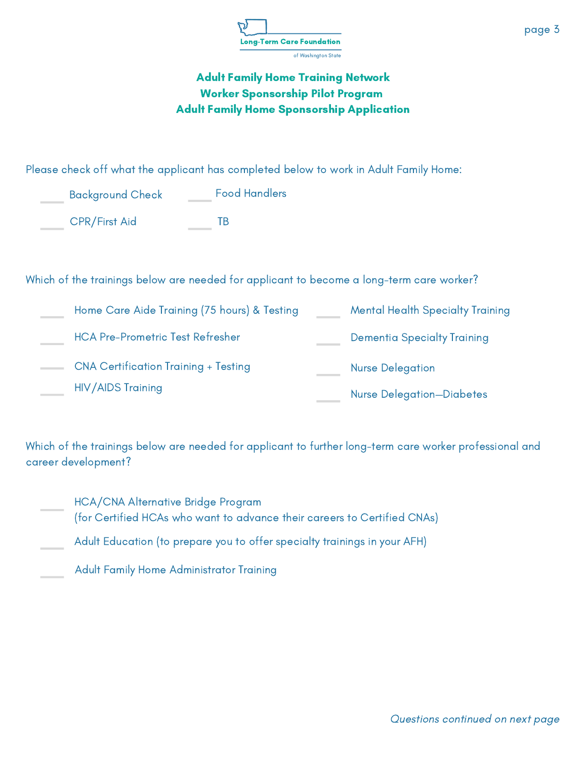

Please check off what the applicant has completed below to work in Adult Family Home:

| <b>Background Check</b> | <b>Food Handlers</b> |
|-------------------------|----------------------|
| <b>CPR/First Aid</b>    | TR                   |

#### Which of the trainings below are needed for applicant to become a long-term care worker?

| Home Care Aide Training (75 hours) & Testing | <b>Mental Health Specialty Training</b> |
|----------------------------------------------|-----------------------------------------|
| <b>HCA Pre-Prometric Test Refresher</b>      | <b>Dementia Specialty Training</b>      |
| <b>CNA Certification Training + Testing</b>  | <b>Nurse Delegation</b>                 |
| <b>HIV/AIDS Training</b>                     | <b>Nurse Delegation-Diabetes</b>        |

Which of the trainings below are needed for applicant to further long-term care worker professional and career development?

- HCA/CNA Alternative Bridge Program (for Certified HCAs who want to advance their careers to Certified CNAs)
- Adult Education (to prepare you to offer specialty trainings in your AFH)
- Adult Family Home Administrator Training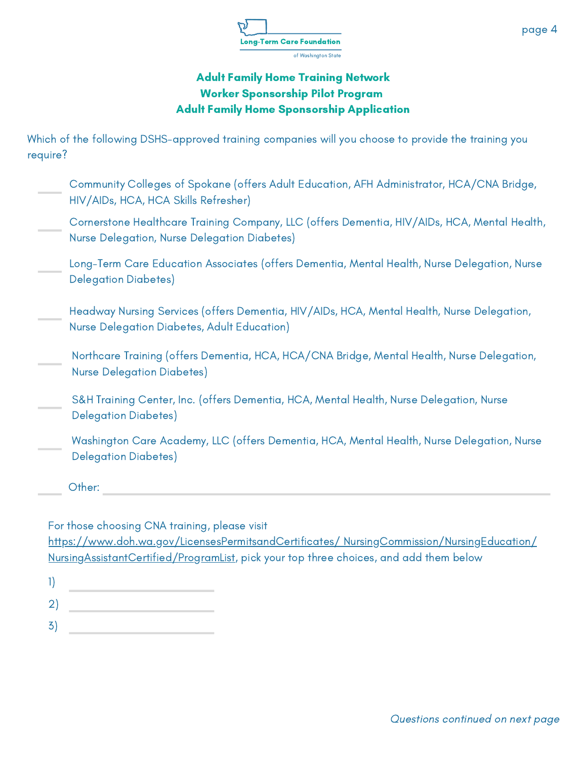

Which of the following DSHS-approved training companies will you choose to provide the training you require?

Washington Care Academy, LLC (offers Dementia, HCA, Mental Health, Nurse Delegation, Nurse Delegation Diabetes) S&H Training Center, Inc. (offers Dementia, HCA, Mental Health, Nurse Delegation, Nurse Delegation Diabetes) Other: Northcare Training (offers Dementia, HCA, HCA/CNA Bridge, Mental Health, Nurse Delegation, Nurse Delegation Diabetes) Cornerstone Healthcare Training Company, LLC (offers Dementia, HIV/AIDs, HCA, Mental Health, Nurse Delegation, Nurse Delegation Diabetes) Community Colleges of Spokane (offers Adult Education, AFH Administrator, HCA/CNA Bridge, HIV/AIDs, HCA, HCA Skills Refresher) Long-Term Care Education Associates (offers Dementia, Mental Health, Nurse Delegation, Nurse Delegation Diabetes) Headway Nursing Services (offers Dementia, HIV/AIDs, HCA, Mental Health, Nurse Delegation, Nurse Delegation Diabetes, Adult Education)

For those choosing CNA training, please visit

[https://www.doh.wa.gov/LicensesPermitsandCertificates/](https://www.doh.wa.gov/LicensesPermitsandCertificates/%20NursingCommission/NursingEducation/%20NursingAssistantCertified/ProgramList) NursingCommission/NursingEducation/ NursingAssistantCertified/ProgramList, pick your top three choices, and add them below

- 1)
- 2)
- 3)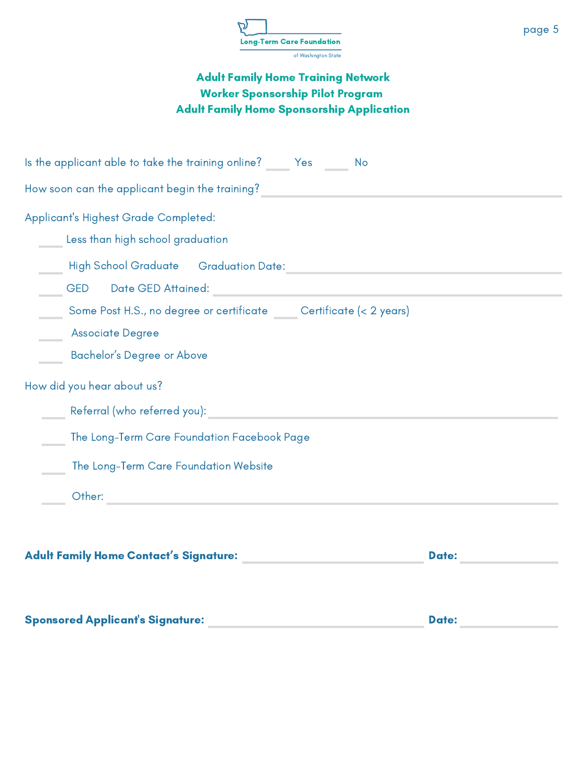

| Is the applicant able to take the training online? $\qquad \qquad$ Yes $\qquad \qquad$<br><b>No</b>                                                                                                                            |
|--------------------------------------------------------------------------------------------------------------------------------------------------------------------------------------------------------------------------------|
|                                                                                                                                                                                                                                |
| Applicant's Highest Grade Completed:<br><b>Less than high school graduation</b>                                                                                                                                                |
| GED Date GED Attained: Network and the state of the state of the state of the state of the state of the state of the state of the state of the state of the state of the state of the state of the state of the state of the s |
| Some Post H.S., no degree or certificate _____ Certificate (< 2 years)<br><b>Associate Degree</b><br><b>Bachelor's Degree or Above</b>                                                                                         |
| How did you hear about us?                                                                                                                                                                                                     |
| Referral (who referred you):                                                                                                                                                                                                   |
| The Long-Term Care Foundation Facebook Page                                                                                                                                                                                    |
| The Long-Term Care Foundation Website                                                                                                                                                                                          |
| Other: when the contract of the contract of the contract of the contract of the contract of the contract of the contract of the contract of the contract of the contract of the contract of the contract of the contract of th |
| Adult Family Home Contact's Signature: Andre Management Contact of School and Taylor<br><b>Date:</b>                                                                                                                           |

| <b>Sponsored Applicant's Signature:</b> | <b>Date:</b> |
|-----------------------------------------|--------------|
|                                         |              |